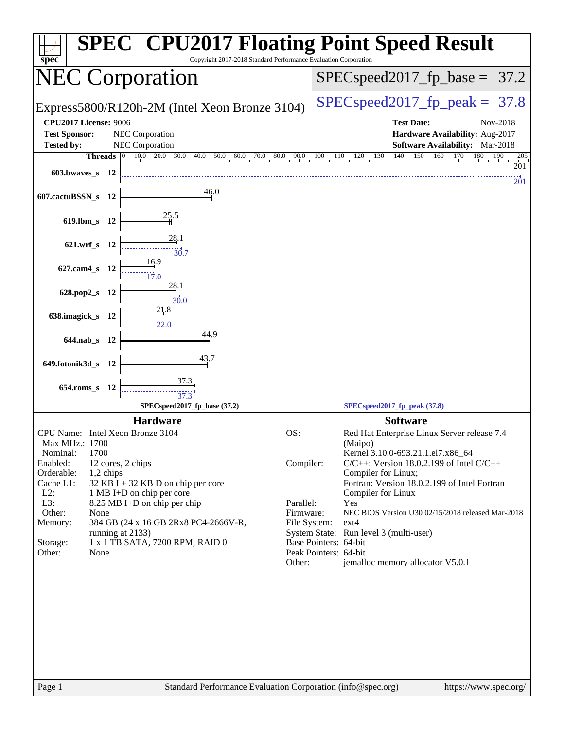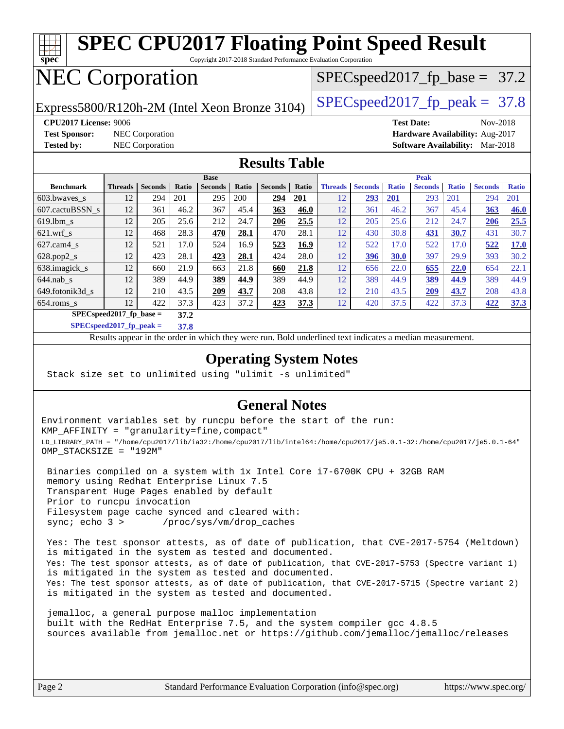

[654.roms\\_s](http://www.spec.org/auto/cpu2017/Docs/benchmarks/654.roms_s.html) 12 422 37.3 423 37.2 **[423](http://www.spec.org/auto/cpu2017/Docs/result-fields.html#Median) [37.3](http://www.spec.org/auto/cpu2017/Docs/result-fields.html#Median)** 12 420 37.5 422 37.3 **[422](http://www.spec.org/auto/cpu2017/Docs/result-fields.html#Median) [37.3](http://www.spec.org/auto/cpu2017/Docs/result-fields.html#Median) [SPECspeed2017\\_fp\\_base =](http://www.spec.org/auto/cpu2017/Docs/result-fields.html#SPECspeed2017fpbase) 37.2**

**[SPECspeed2017\\_fp\\_peak =](http://www.spec.org/auto/cpu2017/Docs/result-fields.html#SPECspeed2017fppeak) 37.8**

Results appear in the [order in which they were run.](http://www.spec.org/auto/cpu2017/Docs/result-fields.html#RunOrder) Bold underlined text [indicates a median measurement](http://www.spec.org/auto/cpu2017/Docs/result-fields.html#Median).

#### **[Operating System Notes](http://www.spec.org/auto/cpu2017/Docs/result-fields.html#OperatingSystemNotes)**

Stack size set to unlimited using "ulimit -s unlimited"

#### **[General Notes](http://www.spec.org/auto/cpu2017/Docs/result-fields.html#GeneralNotes)**

Environment variables set by runcpu before the start of the run: KMP\_AFFINITY = "granularity=fine,compact" LD\_LIBRARY\_PATH = "/home/cpu2017/lib/ia32:/home/cpu2017/lib/intel64:/home/cpu2017/je5.0.1-32:/home/cpu2017/je5.0.1-64" OMP\_STACKSIZE = "192M"

 Binaries compiled on a system with 1x Intel Core i7-6700K CPU + 32GB RAM memory using Redhat Enterprise Linux 7.5 Transparent Huge Pages enabled by default Prior to runcpu invocation Filesystem page cache synced and cleared with: sync; echo 3 > /proc/sys/vm/drop\_caches

 Yes: The test sponsor attests, as of date of publication, that CVE-2017-5754 (Meltdown) is mitigated in the system as tested and documented. Yes: The test sponsor attests, as of date of publication, that CVE-2017-5753 (Spectre variant 1) is mitigated in the system as tested and documented. Yes: The test sponsor attests, as of date of publication, that CVE-2017-5715 (Spectre variant 2) is mitigated in the system as tested and documented.

 jemalloc, a general purpose malloc implementation built with the RedHat Enterprise 7.5, and the system compiler gcc 4.8.5 sources available from jemalloc.net or <https://github.com/jemalloc/jemalloc/releases>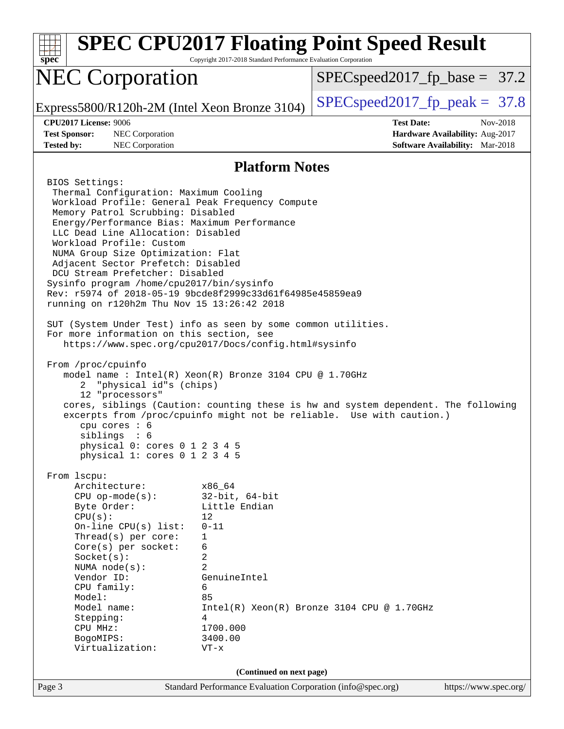| $spec*$                                                                                                                                                                                                                                                                                                                                                                                                                                                                                                                                                                                                                                                                                                                                                                                                                                                                                                                                                                                                                                                                                                                                                                                     | Copyright 2017-2018 Standard Performance Evaluation Corporation                                                  | <b>SPEC CPU2017 Floating Point Speed Result</b>                                                                                                             |
|---------------------------------------------------------------------------------------------------------------------------------------------------------------------------------------------------------------------------------------------------------------------------------------------------------------------------------------------------------------------------------------------------------------------------------------------------------------------------------------------------------------------------------------------------------------------------------------------------------------------------------------------------------------------------------------------------------------------------------------------------------------------------------------------------------------------------------------------------------------------------------------------------------------------------------------------------------------------------------------------------------------------------------------------------------------------------------------------------------------------------------------------------------------------------------------------|------------------------------------------------------------------------------------------------------------------|-------------------------------------------------------------------------------------------------------------------------------------------------------------|
| <b>NEC Corporation</b>                                                                                                                                                                                                                                                                                                                                                                                                                                                                                                                                                                                                                                                                                                                                                                                                                                                                                                                                                                                                                                                                                                                                                                      |                                                                                                                  | $SPEC speed2017_f p\_base = 37.2$                                                                                                                           |
| Express5800/R120h-2M (Intel Xeon Bronze 3104)                                                                                                                                                                                                                                                                                                                                                                                                                                                                                                                                                                                                                                                                                                                                                                                                                                                                                                                                                                                                                                                                                                                                               |                                                                                                                  | $SPEC speed2017fp peak = 37.8$                                                                                                                              |
| CPU2017 License: 9006<br><b>Test Sponsor:</b><br>NEC Corporation<br><b>Tested by:</b><br>NEC Corporation                                                                                                                                                                                                                                                                                                                                                                                                                                                                                                                                                                                                                                                                                                                                                                                                                                                                                                                                                                                                                                                                                    |                                                                                                                  | <b>Test Date:</b><br>Nov-2018<br>Hardware Availability: Aug-2017<br><b>Software Availability:</b> Mar-2018                                                  |
|                                                                                                                                                                                                                                                                                                                                                                                                                                                                                                                                                                                                                                                                                                                                                                                                                                                                                                                                                                                                                                                                                                                                                                                             | <b>Platform Notes</b>                                                                                            |                                                                                                                                                             |
| BIOS Settings:<br>Thermal Configuration: Maximum Cooling<br>Workload Profile: General Peak Frequency Compute<br>Memory Patrol Scrubbing: Disabled<br>Energy/Performance Bias: Maximum Performance<br>LLC Dead Line Allocation: Disabled<br>Workload Profile: Custom<br>NUMA Group Size Optimization: Flat<br>Adjacent Sector Prefetch: Disabled<br>DCU Stream Prefetcher: Disabled<br>Sysinfo program /home/cpu2017/bin/sysinfo<br>Rev: r5974 of 2018-05-19 9bcde8f2999c33d61f64985e45859ea9<br>running on r120h2m Thu Nov 15 13:26:42 2018<br>SUT (System Under Test) info as seen by some common utilities.<br>For more information on this section, see<br>https://www.spec.org/cpu2017/Docs/config.html#sysinfo<br>From /proc/cpuinfo<br>model name: Intel(R) Xeon(R) Bronze 3104 CPU @ 1.70GHz<br>"physical id"s (chips)<br>2<br>12 "processors"<br>cpu cores $: 6$<br>siblings : 6<br>physical 0: cores 0 1 2 3 4 5<br>physical 1: cores 0 1 2 3 4 5<br>From 1scpu:<br>Architecture:<br>$CPU$ op-mode( $s$ ):<br>Byte Order:<br>CPU(s):<br>On-line CPU(s) list:<br>Thread(s) per core:<br>Core(s) per socket:<br>Socket(s):<br>NUMA $node(s):$<br>Vendor ID:<br>CPU family:<br>Model: | x86_64<br>$32$ -bit, $64$ -bit<br>Little Endian<br>12<br>$0 - 11$<br>1<br>6<br>2<br>2<br>GenuineIntel<br>6<br>85 | cores, siblings (Caution: counting these is hw and system dependent. The following<br>excerpts from /proc/cpuinfo might not be reliable. Use with caution.) |
| Model name:<br>Stepping:<br>CPU MHz:<br>BogoMIPS:                                                                                                                                                                                                                                                                                                                                                                                                                                                                                                                                                                                                                                                                                                                                                                                                                                                                                                                                                                                                                                                                                                                                           | 4<br>1700.000<br>3400.00                                                                                         | Intel(R) Xeon(R) Bronze 3104 CPU @ 1.70GHz                                                                                                                  |
| Virtualization:                                                                                                                                                                                                                                                                                                                                                                                                                                                                                                                                                                                                                                                                                                                                                                                                                                                                                                                                                                                                                                                                                                                                                                             | $VT - x$                                                                                                         |                                                                                                                                                             |
|                                                                                                                                                                                                                                                                                                                                                                                                                                                                                                                                                                                                                                                                                                                                                                                                                                                                                                                                                                                                                                                                                                                                                                                             | (Continued on next page)                                                                                         |                                                                                                                                                             |
| Page 3                                                                                                                                                                                                                                                                                                                                                                                                                                                                                                                                                                                                                                                                                                                                                                                                                                                                                                                                                                                                                                                                                                                                                                                      | Standard Performance Evaluation Corporation (info@spec.org)                                                      | https://www.spec.org/                                                                                                                                       |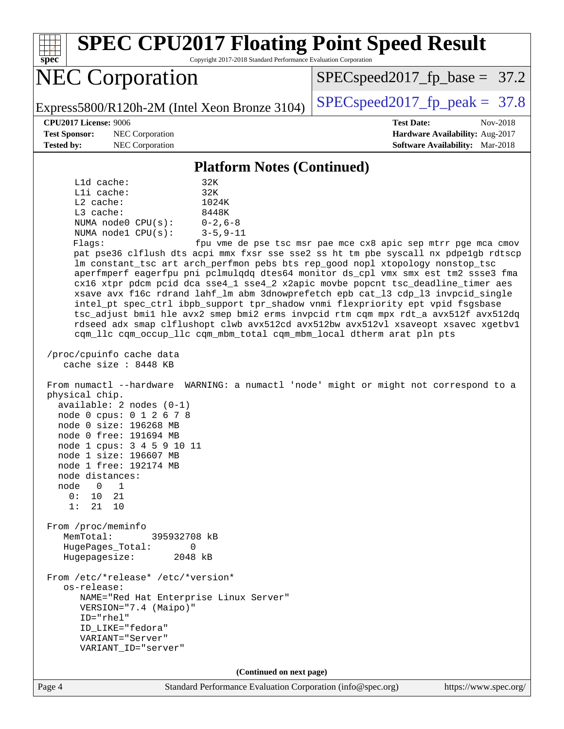Page 4 Standard Performance Evaluation Corporation [\(info@spec.org\)](mailto:info@spec.org) <https://www.spec.org/> **[spec](http://www.spec.org/) [SPEC CPU2017 Floating Point Speed Result](http://www.spec.org/auto/cpu2017/Docs/result-fields.html#SPECCPU2017FloatingPointSpeedResult)** Copyright 2017-2018 Standard Performance Evaluation Corporation NEC Corporation Express5800/R120h-2M (Intel Xeon Bronze 3104) [SPECspeed2017\\_fp\\_peak =](http://www.spec.org/auto/cpu2017/Docs/result-fields.html#SPECspeed2017fppeak) 37.8  $SPECspeed2017_fp\_base = 37.2$ **[CPU2017 License:](http://www.spec.org/auto/cpu2017/Docs/result-fields.html#CPU2017License)** 9006 **[Test Date:](http://www.spec.org/auto/cpu2017/Docs/result-fields.html#TestDate)** Nov-2018 **[Test Sponsor:](http://www.spec.org/auto/cpu2017/Docs/result-fields.html#TestSponsor)** NEC Corporation **[Hardware Availability:](http://www.spec.org/auto/cpu2017/Docs/result-fields.html#HardwareAvailability)** Aug-2017 **[Tested by:](http://www.spec.org/auto/cpu2017/Docs/result-fields.html#Testedby)** NEC Corporation **[Software Availability:](http://www.spec.org/auto/cpu2017/Docs/result-fields.html#SoftwareAvailability)** Mar-2018 **[Platform Notes \(Continued\)](http://www.spec.org/auto/cpu2017/Docs/result-fields.html#PlatformNotes)** L1d cache: 32K L1i cache: 32K L2 cache: 1024K L3 cache: 8448K NUMA node0 CPU(s): 0-2,6-8 NUMA node1 CPU(s): 3-5,9-11 Flags: fpu vme de pse tsc msr pae mce cx8 apic sep mtrr pge mca cmov pat pse36 clflush dts acpi mmx fxsr sse sse2 ss ht tm pbe syscall nx pdpe1gb rdtscp lm constant\_tsc art arch\_perfmon pebs bts rep\_good nopl xtopology nonstop\_tsc aperfmperf eagerfpu pni pclmulqdq dtes64 monitor ds\_cpl vmx smx est tm2 ssse3 fma cx16 xtpr pdcm pcid dca sse4\_1 sse4\_2 x2apic movbe popcnt tsc\_deadline\_timer aes xsave avx f16c rdrand lahf\_lm abm 3dnowprefetch epb cat\_l3 cdp\_l3 invpcid\_single intel\_pt spec\_ctrl ibpb\_support tpr\_shadow vnmi flexpriority ept vpid fsgsbase tsc\_adjust bmi1 hle avx2 smep bmi2 erms invpcid rtm cqm mpx rdt\_a avx512f avx512dq rdseed adx smap clflushopt clwb avx512cd avx512bw avx512vl xsaveopt xsavec xgetbv1 cqm\_llc cqm\_occup\_llc cqm\_mbm\_total cqm\_mbm\_local dtherm arat pln pts /proc/cpuinfo cache data cache size : 8448 KB From numactl --hardware WARNING: a numactl 'node' might or might not correspond to a physical chip. available: 2 nodes (0-1) node 0 cpus: 0 1 2 6 7 8 node 0 size: 196268 MB node 0 free: 191694 MB node 1 cpus: 3 4 5 9 10 11 node 1 size: 196607 MB node 1 free: 192174 MB node distances: node 0 1  $0: 10 21$  1: 21 10 From /proc/meminfo MemTotal: 395932708 kB HugePages\_Total: 0 Hugepagesize: 2048 kB From /etc/\*release\* /etc/\*version\* os-release: NAME="Red Hat Enterprise Linux Server" VERSION="7.4 (Maipo)" ID="rhel" ID\_LIKE="fedora" VARIANT="Server" VARIANT\_ID="server" **(Continued on next page)**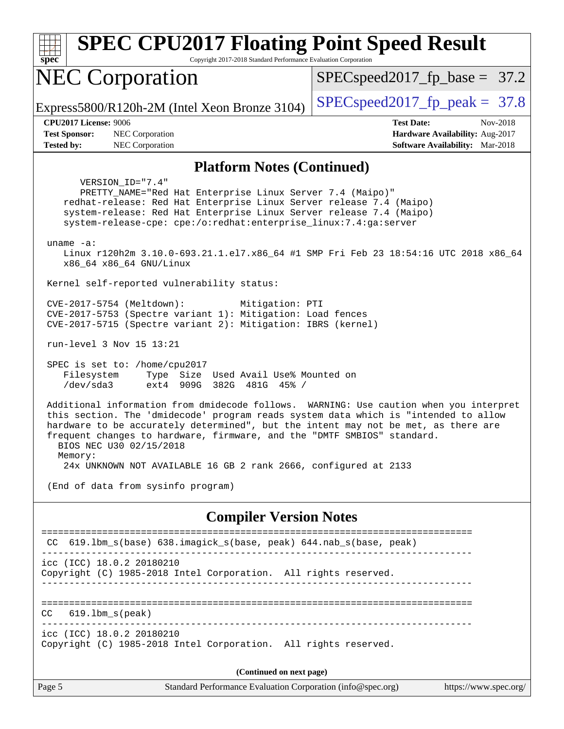| <b>SPEC CPU2017 Floating Point Speed Result</b>                                                                                                                                                                                                                                                                                                                                                                                                         |                                                                           |
|---------------------------------------------------------------------------------------------------------------------------------------------------------------------------------------------------------------------------------------------------------------------------------------------------------------------------------------------------------------------------------------------------------------------------------------------------------|---------------------------------------------------------------------------|
| Copyright 2017-2018 Standard Performance Evaluation Corporation<br>spec                                                                                                                                                                                                                                                                                                                                                                                 |                                                                           |
| <b>NEC Corporation</b>                                                                                                                                                                                                                                                                                                                                                                                                                                  | $SPEC speed2017_f p\_base = 37.2$                                         |
| Express5800/R120h-2M (Intel Xeon Bronze 3104)                                                                                                                                                                                                                                                                                                                                                                                                           | $SPEC speed2017fp peak = 37.8$                                            |
| <b>CPU2017 License: 9006</b>                                                                                                                                                                                                                                                                                                                                                                                                                            | <b>Test Date:</b><br>Nov-2018                                             |
| <b>Test Sponsor:</b><br>NEC Corporation<br><b>Tested by:</b><br>NEC Corporation                                                                                                                                                                                                                                                                                                                                                                         | Hardware Availability: Aug-2017<br><b>Software Availability:</b> Mar-2018 |
| <b>Platform Notes (Continued)</b>                                                                                                                                                                                                                                                                                                                                                                                                                       |                                                                           |
| VERSION ID="7.4"<br>PRETTY_NAME="Red Hat Enterprise Linux Server 7.4 (Maipo)"<br>redhat-release: Red Hat Enterprise Linux Server release 7.4 (Maipo)<br>system-release: Red Hat Enterprise Linux Server release 7.4 (Maipo)<br>system-release-cpe: cpe:/o:redhat:enterprise_linux:7.4:ga:server<br>$uname -a$ :<br>Linux r120h2m 3.10.0-693.21.1.el7.x86_64 #1 SMP Fri Feb 23 18:54:16 UTC 2018 x86_64                                                  |                                                                           |
| x86_64 x86_64 GNU/Linux<br>Kernel self-reported vulnerability status:                                                                                                                                                                                                                                                                                                                                                                                   |                                                                           |
| CVE-2017-5754 (Meltdown):<br>Mitigation: PTI<br>CVE-2017-5753 (Spectre variant 1): Mitigation: Load fences<br>CVE-2017-5715 (Spectre variant 2): Mitigation: IBRS (kernel)<br>run-level 3 Nov 15 13:21                                                                                                                                                                                                                                                  |                                                                           |
| SPEC is set to: /home/cpu2017<br>Filesystem<br>Type Size Used Avail Use% Mounted on<br>/dev/sda3<br>ext4 909G 382G 481G 45% /                                                                                                                                                                                                                                                                                                                           |                                                                           |
| Additional information from dmidecode follows. WARNING: Use caution when you interpret<br>this section. The 'dmidecode' program reads system data which is "intended to allow<br>hardware to be accurately determined", but the intent may not be met, as there are<br>frequent changes to hardware, firmware, and the "DMTF SMBIOS" standard.<br>BIOS NEC U30 02/15/2018<br>Memory:<br>24x UNKNOWN NOT AVAILABLE 16 GB 2 rank 2666, configured at 2133 |                                                                           |
| (End of data from sysinfo program)                                                                                                                                                                                                                                                                                                                                                                                                                      |                                                                           |
| <b>Compiler Version Notes</b>                                                                                                                                                                                                                                                                                                                                                                                                                           |                                                                           |
| CC 619.1bm_s(base) 638.imagick_s(base, peak) 644.nab_s(base, peak)<br>icc (ICC) 18.0.2 20180210<br>Copyright (C) 1985-2018 Intel Corporation. All rights reserved.                                                                                                                                                                                                                                                                                      |                                                                           |
| $619.1$ bm_s(peak)<br>CC                                                                                                                                                                                                                                                                                                                                                                                                                                |                                                                           |

icc (ICC) 18.0.2 20180210

Copyright (C) 1985-2018 Intel Corporation. All rights reserved.

**(Continued on next page)**

Page 5 Standard Performance Evaluation Corporation [\(info@spec.org\)](mailto:info@spec.org) <https://www.spec.org/>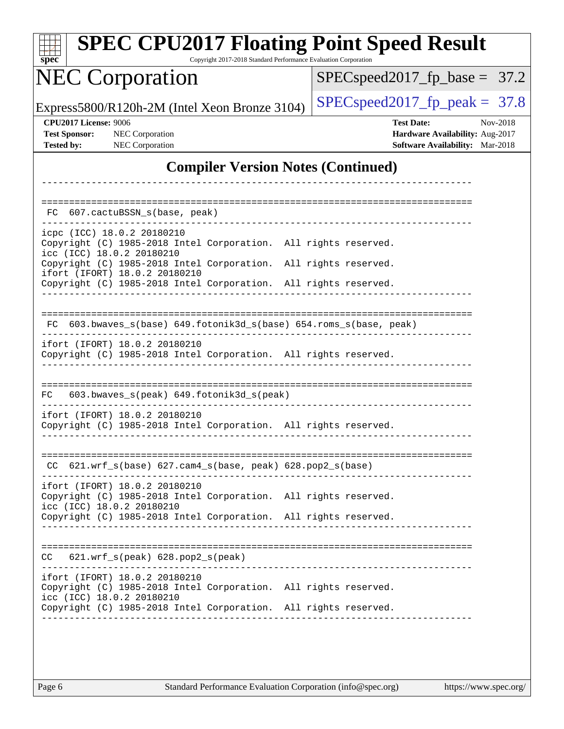| $spec^*$                                                                  |                                                                                                                                                                                                  | <b>SPEC CPU2017 Floating Point Speed Result</b><br>Copyright 2017-2018 Standard Performance Evaluation Corporation |
|---------------------------------------------------------------------------|--------------------------------------------------------------------------------------------------------------------------------------------------------------------------------------------------|--------------------------------------------------------------------------------------------------------------------|
|                                                                           | <b>NEC Corporation</b>                                                                                                                                                                           | $SPEC speed2017_f p\_base = 37.2$                                                                                  |
|                                                                           | Express5800/R120h-2M (Intel Xeon Bronze 3104)                                                                                                                                                    | $SPEC speed2017fp peak = 37.8$                                                                                     |
| <b>CPU2017 License: 9006</b><br><b>Test Sponsor:</b><br><b>Tested by:</b> | NEC Corporation<br>NEC Corporation                                                                                                                                                               | <b>Test Date:</b><br>Nov-2018<br>Hardware Availability: Aug-2017<br><b>Software Availability:</b> Mar-2018         |
|                                                                           |                                                                                                                                                                                                  | <b>Compiler Version Notes (Continued)</b>                                                                          |
| FC.                                                                       | 607.cactuBSSN_s(base, peak)                                                                                                                                                                      |                                                                                                                    |
|                                                                           | icpc (ICC) 18.0.2 20180210<br>Copyright (C) 1985-2018 Intel Corporation. All rights reserved.<br>icc (ICC) 18.0.2 20180210                                                                       |                                                                                                                    |
|                                                                           | Copyright (C) 1985-2018 Intel Corporation. All rights reserved.<br>ifort (IFORT) 18.0.2 20180210<br>Copyright (C) 1985-2018 Intel Corporation. All rights reserved.                              |                                                                                                                    |
| FC.                                                                       |                                                                                                                                                                                                  | 603.bwaves_s(base) 649.fotonik3d_s(base) 654.roms_s(base, peak)                                                    |
|                                                                           | ifort (IFORT) 18.0.2 20180210<br>Copyright (C) 1985-2018 Intel Corporation. All rights reserved.                                                                                                 |                                                                                                                    |
| FC.                                                                       | 603.bwaves_s(peak) 649.fotonik3d_s(peak)                                                                                                                                                         |                                                                                                                    |
|                                                                           | ifort (IFORT) 18.0.2 20180210<br>Copyright (C) 1985-2018 Intel Corporation. All rights reserved.                                                                                                 |                                                                                                                    |
|                                                                           | $CC$ 621.wrf_s(base) 627.cam4_s(base, peak) 628.pop2_s(base)                                                                                                                                     |                                                                                                                    |
|                                                                           | ifort (IFORT) 18.0.2 20180210<br>Copyright (C) 1985-2018 Intel Corporation. All rights reserved.<br>icc (ICC) 18.0.2 20180210<br>Copyright (C) 1985-2018 Intel Corporation. All rights reserved. |                                                                                                                    |
|                                                                           | $CC$ $621.wrf_s(peak)$ $628.pop2_s(peak)$                                                                                                                                                        |                                                                                                                    |
|                                                                           | ifort (IFORT) 18.0.2 20180210<br>Copyright (C) 1985-2018 Intel Corporation. All rights reserved.<br>icc (ICC) 18.0.2 20180210                                                                    |                                                                                                                    |
|                                                                           | Copyright (C) 1985-2018 Intel Corporation. All rights reserved.                                                                                                                                  |                                                                                                                    |
|                                                                           |                                                                                                                                                                                                  |                                                                                                                    |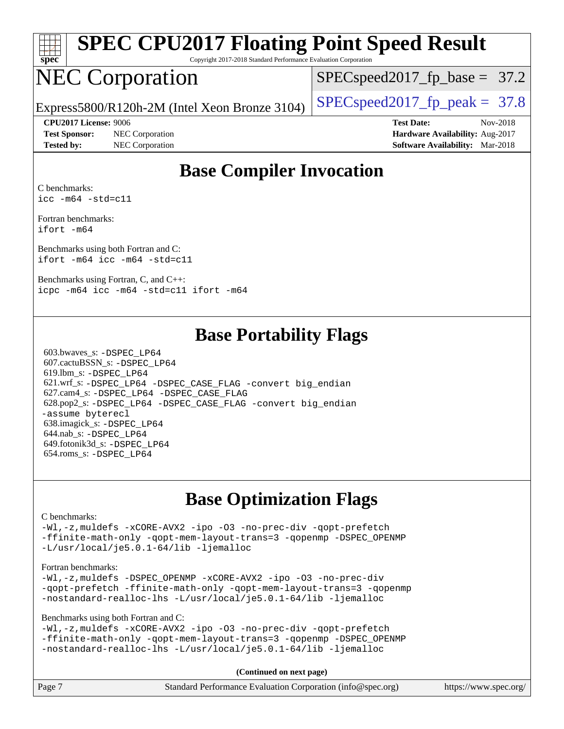

# **[SPEC CPU2017 Floating Point Speed Result](http://www.spec.org/auto/cpu2017/Docs/result-fields.html#SPECCPU2017FloatingPointSpeedResult)**

Copyright 2017-2018 Standard Performance Evaluation Corporation

## NEC Corporation

 $SPECspeed2017_fp\_base = 37.2$ 

Express5800/R120h-2M (Intel Xeon Bronze 3104) [SPECspeed2017\\_fp\\_peak =](http://www.spec.org/auto/cpu2017/Docs/result-fields.html#SPECspeed2017fppeak) 37.8

**[Test Sponsor:](http://www.spec.org/auto/cpu2017/Docs/result-fields.html#TestSponsor)** NEC Corporation **[Hardware Availability:](http://www.spec.org/auto/cpu2017/Docs/result-fields.html#HardwareAvailability)** Aug-2017

**[CPU2017 License:](http://www.spec.org/auto/cpu2017/Docs/result-fields.html#CPU2017License)** 9006 **[Test Date:](http://www.spec.org/auto/cpu2017/Docs/result-fields.html#TestDate)** Nov-2018 **[Tested by:](http://www.spec.org/auto/cpu2017/Docs/result-fields.html#Testedby)** NEC Corporation **[Software Availability:](http://www.spec.org/auto/cpu2017/Docs/result-fields.html#SoftwareAvailability)** Mar-2018

#### **[Base Compiler Invocation](http://www.spec.org/auto/cpu2017/Docs/result-fields.html#BaseCompilerInvocation)**

[C benchmarks](http://www.spec.org/auto/cpu2017/Docs/result-fields.html#Cbenchmarks): [icc -m64 -std=c11](http://www.spec.org/cpu2017/results/res2018q4/cpu2017-20181126-09842.flags.html#user_CCbase_intel_icc_64bit_c11_33ee0cdaae7deeeab2a9725423ba97205ce30f63b9926c2519791662299b76a0318f32ddfffdc46587804de3178b4f9328c46fa7c2b0cd779d7a61945c91cd35)

[Fortran benchmarks](http://www.spec.org/auto/cpu2017/Docs/result-fields.html#Fortranbenchmarks): [ifort -m64](http://www.spec.org/cpu2017/results/res2018q4/cpu2017-20181126-09842.flags.html#user_FCbase_intel_ifort_64bit_24f2bb282fbaeffd6157abe4f878425411749daecae9a33200eee2bee2fe76f3b89351d69a8130dd5949958ce389cf37ff59a95e7a40d588e8d3a57e0c3fd751)

[Benchmarks using both Fortran and C](http://www.spec.org/auto/cpu2017/Docs/result-fields.html#BenchmarksusingbothFortranandC): [ifort -m64](http://www.spec.org/cpu2017/results/res2018q4/cpu2017-20181126-09842.flags.html#user_CC_FCbase_intel_ifort_64bit_24f2bb282fbaeffd6157abe4f878425411749daecae9a33200eee2bee2fe76f3b89351d69a8130dd5949958ce389cf37ff59a95e7a40d588e8d3a57e0c3fd751) [icc -m64 -std=c11](http://www.spec.org/cpu2017/results/res2018q4/cpu2017-20181126-09842.flags.html#user_CC_FCbase_intel_icc_64bit_c11_33ee0cdaae7deeeab2a9725423ba97205ce30f63b9926c2519791662299b76a0318f32ddfffdc46587804de3178b4f9328c46fa7c2b0cd779d7a61945c91cd35)

[Benchmarks using Fortran, C, and C++:](http://www.spec.org/auto/cpu2017/Docs/result-fields.html#BenchmarksusingFortranCandCXX) [icpc -m64](http://www.spec.org/cpu2017/results/res2018q4/cpu2017-20181126-09842.flags.html#user_CC_CXX_FCbase_intel_icpc_64bit_4ecb2543ae3f1412ef961e0650ca070fec7b7afdcd6ed48761b84423119d1bf6bdf5cad15b44d48e7256388bc77273b966e5eb805aefd121eb22e9299b2ec9d9) [icc -m64 -std=c11](http://www.spec.org/cpu2017/results/res2018q4/cpu2017-20181126-09842.flags.html#user_CC_CXX_FCbase_intel_icc_64bit_c11_33ee0cdaae7deeeab2a9725423ba97205ce30f63b9926c2519791662299b76a0318f32ddfffdc46587804de3178b4f9328c46fa7c2b0cd779d7a61945c91cd35) [ifort -m64](http://www.spec.org/cpu2017/results/res2018q4/cpu2017-20181126-09842.flags.html#user_CC_CXX_FCbase_intel_ifort_64bit_24f2bb282fbaeffd6157abe4f878425411749daecae9a33200eee2bee2fe76f3b89351d69a8130dd5949958ce389cf37ff59a95e7a40d588e8d3a57e0c3fd751)

#### **[Base Portability Flags](http://www.spec.org/auto/cpu2017/Docs/result-fields.html#BasePortabilityFlags)**

 603.bwaves\_s: [-DSPEC\\_LP64](http://www.spec.org/cpu2017/results/res2018q4/cpu2017-20181126-09842.flags.html#suite_basePORTABILITY603_bwaves_s_DSPEC_LP64) 607.cactuBSSN\_s: [-DSPEC\\_LP64](http://www.spec.org/cpu2017/results/res2018q4/cpu2017-20181126-09842.flags.html#suite_basePORTABILITY607_cactuBSSN_s_DSPEC_LP64) 619.lbm\_s: [-DSPEC\\_LP64](http://www.spec.org/cpu2017/results/res2018q4/cpu2017-20181126-09842.flags.html#suite_basePORTABILITY619_lbm_s_DSPEC_LP64) 621.wrf\_s: [-DSPEC\\_LP64](http://www.spec.org/cpu2017/results/res2018q4/cpu2017-20181126-09842.flags.html#suite_basePORTABILITY621_wrf_s_DSPEC_LP64) [-DSPEC\\_CASE\\_FLAG](http://www.spec.org/cpu2017/results/res2018q4/cpu2017-20181126-09842.flags.html#b621.wrf_s_baseCPORTABILITY_DSPEC_CASE_FLAG) [-convert big\\_endian](http://www.spec.org/cpu2017/results/res2018q4/cpu2017-20181126-09842.flags.html#user_baseFPORTABILITY621_wrf_s_convert_big_endian_c3194028bc08c63ac5d04de18c48ce6d347e4e562e8892b8bdbdc0214820426deb8554edfa529a3fb25a586e65a3d812c835984020483e7e73212c4d31a38223) 627.cam4\_s: [-DSPEC\\_LP64](http://www.spec.org/cpu2017/results/res2018q4/cpu2017-20181126-09842.flags.html#suite_basePORTABILITY627_cam4_s_DSPEC_LP64) [-DSPEC\\_CASE\\_FLAG](http://www.spec.org/cpu2017/results/res2018q4/cpu2017-20181126-09842.flags.html#b627.cam4_s_baseCPORTABILITY_DSPEC_CASE_FLAG) 628.pop2\_s: [-DSPEC\\_LP64](http://www.spec.org/cpu2017/results/res2018q4/cpu2017-20181126-09842.flags.html#suite_basePORTABILITY628_pop2_s_DSPEC_LP64) [-DSPEC\\_CASE\\_FLAG](http://www.spec.org/cpu2017/results/res2018q4/cpu2017-20181126-09842.flags.html#b628.pop2_s_baseCPORTABILITY_DSPEC_CASE_FLAG) [-convert big\\_endian](http://www.spec.org/cpu2017/results/res2018q4/cpu2017-20181126-09842.flags.html#user_baseFPORTABILITY628_pop2_s_convert_big_endian_c3194028bc08c63ac5d04de18c48ce6d347e4e562e8892b8bdbdc0214820426deb8554edfa529a3fb25a586e65a3d812c835984020483e7e73212c4d31a38223) [-assume byterecl](http://www.spec.org/cpu2017/results/res2018q4/cpu2017-20181126-09842.flags.html#user_baseFPORTABILITY628_pop2_s_assume_byterecl_7e47d18b9513cf18525430bbf0f2177aa9bf368bc7a059c09b2c06a34b53bd3447c950d3f8d6c70e3faf3a05c8557d66a5798b567902e8849adc142926523472) 638.imagick\_s: [-DSPEC\\_LP64](http://www.spec.org/cpu2017/results/res2018q4/cpu2017-20181126-09842.flags.html#suite_basePORTABILITY638_imagick_s_DSPEC_LP64) 644.nab\_s: [-DSPEC\\_LP64](http://www.spec.org/cpu2017/results/res2018q4/cpu2017-20181126-09842.flags.html#suite_basePORTABILITY644_nab_s_DSPEC_LP64) 649.fotonik3d\_s: [-DSPEC\\_LP64](http://www.spec.org/cpu2017/results/res2018q4/cpu2017-20181126-09842.flags.html#suite_basePORTABILITY649_fotonik3d_s_DSPEC_LP64) 654.roms\_s: [-DSPEC\\_LP64](http://www.spec.org/cpu2017/results/res2018q4/cpu2017-20181126-09842.flags.html#suite_basePORTABILITY654_roms_s_DSPEC_LP64)

#### **[Base Optimization Flags](http://www.spec.org/auto/cpu2017/Docs/result-fields.html#BaseOptimizationFlags)**

#### [C benchmarks](http://www.spec.org/auto/cpu2017/Docs/result-fields.html#Cbenchmarks):

[-Wl,-z,muldefs](http://www.spec.org/cpu2017/results/res2018q4/cpu2017-20181126-09842.flags.html#user_CCbase_link_force_multiple1_b4cbdb97b34bdee9ceefcfe54f4c8ea74255f0b02a4b23e853cdb0e18eb4525ac79b5a88067c842dd0ee6996c24547a27a4b99331201badda8798ef8a743f577) [-xCORE-AVX2](http://www.spec.org/cpu2017/results/res2018q4/cpu2017-20181126-09842.flags.html#user_CCbase_f-xCORE-AVX2) [-ipo](http://www.spec.org/cpu2017/results/res2018q4/cpu2017-20181126-09842.flags.html#user_CCbase_f-ipo) [-O3](http://www.spec.org/cpu2017/results/res2018q4/cpu2017-20181126-09842.flags.html#user_CCbase_f-O3) [-no-prec-div](http://www.spec.org/cpu2017/results/res2018q4/cpu2017-20181126-09842.flags.html#user_CCbase_f-no-prec-div) [-qopt-prefetch](http://www.spec.org/cpu2017/results/res2018q4/cpu2017-20181126-09842.flags.html#user_CCbase_f-qopt-prefetch) [-ffinite-math-only](http://www.spec.org/cpu2017/results/res2018q4/cpu2017-20181126-09842.flags.html#user_CCbase_f_finite_math_only_cb91587bd2077682c4b38af759c288ed7c732db004271a9512da14a4f8007909a5f1427ecbf1a0fb78ff2a814402c6114ac565ca162485bbcae155b5e4258871) [-qopt-mem-layout-trans=3](http://www.spec.org/cpu2017/results/res2018q4/cpu2017-20181126-09842.flags.html#user_CCbase_f-qopt-mem-layout-trans_de80db37974c74b1f0e20d883f0b675c88c3b01e9d123adea9b28688d64333345fb62bc4a798493513fdb68f60282f9a726aa07f478b2f7113531aecce732043) [-qopenmp](http://www.spec.org/cpu2017/results/res2018q4/cpu2017-20181126-09842.flags.html#user_CCbase_qopenmp_16be0c44f24f464004c6784a7acb94aca937f053568ce72f94b139a11c7c168634a55f6653758ddd83bcf7b8463e8028bb0b48b77bcddc6b78d5d95bb1df2967) [-DSPEC\\_OPENMP](http://www.spec.org/cpu2017/results/res2018q4/cpu2017-20181126-09842.flags.html#suite_CCbase_DSPEC_OPENMP) [-L/usr/local/je5.0.1-64/lib](http://www.spec.org/cpu2017/results/res2018q4/cpu2017-20181126-09842.flags.html#user_CCbase_jemalloc_link_path64_4b10a636b7bce113509b17f3bd0d6226c5fb2346b9178c2d0232c14f04ab830f976640479e5c33dc2bcbbdad86ecfb6634cbbd4418746f06f368b512fced5394) [-ljemalloc](http://www.spec.org/cpu2017/results/res2018q4/cpu2017-20181126-09842.flags.html#user_CCbase_jemalloc_link_lib_d1249b907c500fa1c0672f44f562e3d0f79738ae9e3c4a9c376d49f265a04b9c99b167ecedbf6711b3085be911c67ff61f150a17b3472be731631ba4d0471706)

#### [Fortran benchmarks](http://www.spec.org/auto/cpu2017/Docs/result-fields.html#Fortranbenchmarks):

[-Wl,-z,muldefs](http://www.spec.org/cpu2017/results/res2018q4/cpu2017-20181126-09842.flags.html#user_FCbase_link_force_multiple1_b4cbdb97b34bdee9ceefcfe54f4c8ea74255f0b02a4b23e853cdb0e18eb4525ac79b5a88067c842dd0ee6996c24547a27a4b99331201badda8798ef8a743f577) [-DSPEC\\_OPENMP](http://www.spec.org/cpu2017/results/res2018q4/cpu2017-20181126-09842.flags.html#suite_FCbase_DSPEC_OPENMP) [-xCORE-AVX2](http://www.spec.org/cpu2017/results/res2018q4/cpu2017-20181126-09842.flags.html#user_FCbase_f-xCORE-AVX2) [-ipo](http://www.spec.org/cpu2017/results/res2018q4/cpu2017-20181126-09842.flags.html#user_FCbase_f-ipo) [-O3](http://www.spec.org/cpu2017/results/res2018q4/cpu2017-20181126-09842.flags.html#user_FCbase_f-O3) [-no-prec-div](http://www.spec.org/cpu2017/results/res2018q4/cpu2017-20181126-09842.flags.html#user_FCbase_f-no-prec-div) [-qopt-prefetch](http://www.spec.org/cpu2017/results/res2018q4/cpu2017-20181126-09842.flags.html#user_FCbase_f-qopt-prefetch) [-ffinite-math-only](http://www.spec.org/cpu2017/results/res2018q4/cpu2017-20181126-09842.flags.html#user_FCbase_f_finite_math_only_cb91587bd2077682c4b38af759c288ed7c732db004271a9512da14a4f8007909a5f1427ecbf1a0fb78ff2a814402c6114ac565ca162485bbcae155b5e4258871) [-qopt-mem-layout-trans=3](http://www.spec.org/cpu2017/results/res2018q4/cpu2017-20181126-09842.flags.html#user_FCbase_f-qopt-mem-layout-trans_de80db37974c74b1f0e20d883f0b675c88c3b01e9d123adea9b28688d64333345fb62bc4a798493513fdb68f60282f9a726aa07f478b2f7113531aecce732043) [-qopenmp](http://www.spec.org/cpu2017/results/res2018q4/cpu2017-20181126-09842.flags.html#user_FCbase_qopenmp_16be0c44f24f464004c6784a7acb94aca937f053568ce72f94b139a11c7c168634a55f6653758ddd83bcf7b8463e8028bb0b48b77bcddc6b78d5d95bb1df2967) [-nostandard-realloc-lhs](http://www.spec.org/cpu2017/results/res2018q4/cpu2017-20181126-09842.flags.html#user_FCbase_f_2003_std_realloc_82b4557e90729c0f113870c07e44d33d6f5a304b4f63d4c15d2d0f1fab99f5daaed73bdb9275d9ae411527f28b936061aa8b9c8f2d63842963b95c9dd6426b8a) [-L/usr/local/je5.0.1-64/lib](http://www.spec.org/cpu2017/results/res2018q4/cpu2017-20181126-09842.flags.html#user_FCbase_jemalloc_link_path64_4b10a636b7bce113509b17f3bd0d6226c5fb2346b9178c2d0232c14f04ab830f976640479e5c33dc2bcbbdad86ecfb6634cbbd4418746f06f368b512fced5394) [-ljemalloc](http://www.spec.org/cpu2017/results/res2018q4/cpu2017-20181126-09842.flags.html#user_FCbase_jemalloc_link_lib_d1249b907c500fa1c0672f44f562e3d0f79738ae9e3c4a9c376d49f265a04b9c99b167ecedbf6711b3085be911c67ff61f150a17b3472be731631ba4d0471706)

[Benchmarks using both Fortran and C](http://www.spec.org/auto/cpu2017/Docs/result-fields.html#BenchmarksusingbothFortranandC):

[-Wl,-z,muldefs](http://www.spec.org/cpu2017/results/res2018q4/cpu2017-20181126-09842.flags.html#user_CC_FCbase_link_force_multiple1_b4cbdb97b34bdee9ceefcfe54f4c8ea74255f0b02a4b23e853cdb0e18eb4525ac79b5a88067c842dd0ee6996c24547a27a4b99331201badda8798ef8a743f577) [-xCORE-AVX2](http://www.spec.org/cpu2017/results/res2018q4/cpu2017-20181126-09842.flags.html#user_CC_FCbase_f-xCORE-AVX2) [-ipo](http://www.spec.org/cpu2017/results/res2018q4/cpu2017-20181126-09842.flags.html#user_CC_FCbase_f-ipo) [-O3](http://www.spec.org/cpu2017/results/res2018q4/cpu2017-20181126-09842.flags.html#user_CC_FCbase_f-O3) [-no-prec-div](http://www.spec.org/cpu2017/results/res2018q4/cpu2017-20181126-09842.flags.html#user_CC_FCbase_f-no-prec-div) [-qopt-prefetch](http://www.spec.org/cpu2017/results/res2018q4/cpu2017-20181126-09842.flags.html#user_CC_FCbase_f-qopt-prefetch) [-ffinite-math-only](http://www.spec.org/cpu2017/results/res2018q4/cpu2017-20181126-09842.flags.html#user_CC_FCbase_f_finite_math_only_cb91587bd2077682c4b38af759c288ed7c732db004271a9512da14a4f8007909a5f1427ecbf1a0fb78ff2a814402c6114ac565ca162485bbcae155b5e4258871) [-qopt-mem-layout-trans=3](http://www.spec.org/cpu2017/results/res2018q4/cpu2017-20181126-09842.flags.html#user_CC_FCbase_f-qopt-mem-layout-trans_de80db37974c74b1f0e20d883f0b675c88c3b01e9d123adea9b28688d64333345fb62bc4a798493513fdb68f60282f9a726aa07f478b2f7113531aecce732043) [-qopenmp](http://www.spec.org/cpu2017/results/res2018q4/cpu2017-20181126-09842.flags.html#user_CC_FCbase_qopenmp_16be0c44f24f464004c6784a7acb94aca937f053568ce72f94b139a11c7c168634a55f6653758ddd83bcf7b8463e8028bb0b48b77bcddc6b78d5d95bb1df2967) [-DSPEC\\_OPENMP](http://www.spec.org/cpu2017/results/res2018q4/cpu2017-20181126-09842.flags.html#suite_CC_FCbase_DSPEC_OPENMP) [-nostandard-realloc-lhs](http://www.spec.org/cpu2017/results/res2018q4/cpu2017-20181126-09842.flags.html#user_CC_FCbase_f_2003_std_realloc_82b4557e90729c0f113870c07e44d33d6f5a304b4f63d4c15d2d0f1fab99f5daaed73bdb9275d9ae411527f28b936061aa8b9c8f2d63842963b95c9dd6426b8a) [-L/usr/local/je5.0.1-64/lib](http://www.spec.org/cpu2017/results/res2018q4/cpu2017-20181126-09842.flags.html#user_CC_FCbase_jemalloc_link_path64_4b10a636b7bce113509b17f3bd0d6226c5fb2346b9178c2d0232c14f04ab830f976640479e5c33dc2bcbbdad86ecfb6634cbbd4418746f06f368b512fced5394) [-ljemalloc](http://www.spec.org/cpu2017/results/res2018q4/cpu2017-20181126-09842.flags.html#user_CC_FCbase_jemalloc_link_lib_d1249b907c500fa1c0672f44f562e3d0f79738ae9e3c4a9c376d49f265a04b9c99b167ecedbf6711b3085be911c67ff61f150a17b3472be731631ba4d0471706)

**(Continued on next page)**

| Page 7<br>Standard Performance Evaluation Corporation (info@spec.org)<br>https://www.spec.org/ |
|------------------------------------------------------------------------------------------------|
|------------------------------------------------------------------------------------------------|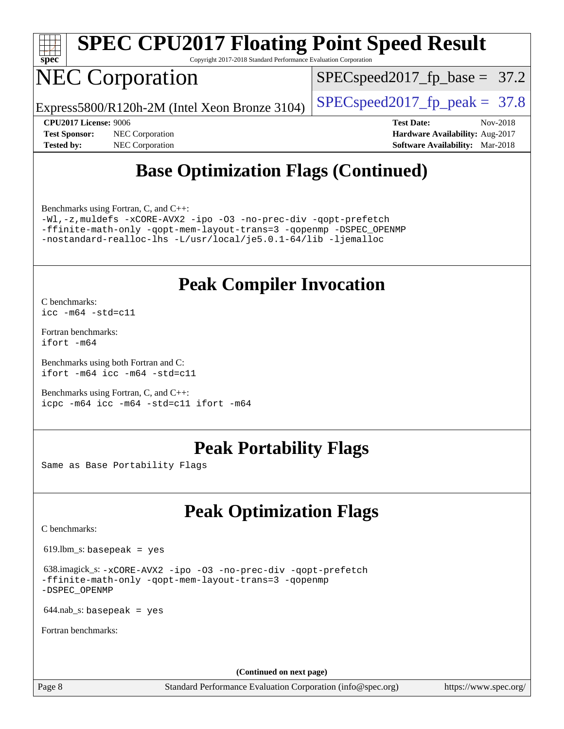

# **[SPEC CPU2017 Floating Point Speed Result](http://www.spec.org/auto/cpu2017/Docs/result-fields.html#SPECCPU2017FloatingPointSpeedResult)**

Copyright 2017-2018 Standard Performance Evaluation Corporation

### NEC Corporation

 $SPECspeed2017_fp\_base = 37.2$ 

Express5800/R120h-2M (Intel Xeon Bronze 3104) [SPECspeed2017\\_fp\\_peak =](http://www.spec.org/auto/cpu2017/Docs/result-fields.html#SPECspeed2017fppeak) 37.8

**[Tested by:](http://www.spec.org/auto/cpu2017/Docs/result-fields.html#Testedby)** NEC Corporation **[Software Availability:](http://www.spec.org/auto/cpu2017/Docs/result-fields.html#SoftwareAvailability)** Mar-2018

**[CPU2017 License:](http://www.spec.org/auto/cpu2017/Docs/result-fields.html#CPU2017License)** 9006 **[Test Date:](http://www.spec.org/auto/cpu2017/Docs/result-fields.html#TestDate)** Nov-2018 **[Test Sponsor:](http://www.spec.org/auto/cpu2017/Docs/result-fields.html#TestSponsor)** NEC Corporation **[Hardware Availability:](http://www.spec.org/auto/cpu2017/Docs/result-fields.html#HardwareAvailability)** Aug-2017

#### **[Base Optimization Flags \(Continued\)](http://www.spec.org/auto/cpu2017/Docs/result-fields.html#BaseOptimizationFlags)**

[Benchmarks using Fortran, C, and C++:](http://www.spec.org/auto/cpu2017/Docs/result-fields.html#BenchmarksusingFortranCandCXX)

[-Wl,-z,muldefs](http://www.spec.org/cpu2017/results/res2018q4/cpu2017-20181126-09842.flags.html#user_CC_CXX_FCbase_link_force_multiple1_b4cbdb97b34bdee9ceefcfe54f4c8ea74255f0b02a4b23e853cdb0e18eb4525ac79b5a88067c842dd0ee6996c24547a27a4b99331201badda8798ef8a743f577) [-xCORE-AVX2](http://www.spec.org/cpu2017/results/res2018q4/cpu2017-20181126-09842.flags.html#user_CC_CXX_FCbase_f-xCORE-AVX2) [-ipo](http://www.spec.org/cpu2017/results/res2018q4/cpu2017-20181126-09842.flags.html#user_CC_CXX_FCbase_f-ipo) [-O3](http://www.spec.org/cpu2017/results/res2018q4/cpu2017-20181126-09842.flags.html#user_CC_CXX_FCbase_f-O3) [-no-prec-div](http://www.spec.org/cpu2017/results/res2018q4/cpu2017-20181126-09842.flags.html#user_CC_CXX_FCbase_f-no-prec-div) [-qopt-prefetch](http://www.spec.org/cpu2017/results/res2018q4/cpu2017-20181126-09842.flags.html#user_CC_CXX_FCbase_f-qopt-prefetch) [-ffinite-math-only](http://www.spec.org/cpu2017/results/res2018q4/cpu2017-20181126-09842.flags.html#user_CC_CXX_FCbase_f_finite_math_only_cb91587bd2077682c4b38af759c288ed7c732db004271a9512da14a4f8007909a5f1427ecbf1a0fb78ff2a814402c6114ac565ca162485bbcae155b5e4258871) [-qopt-mem-layout-trans=3](http://www.spec.org/cpu2017/results/res2018q4/cpu2017-20181126-09842.flags.html#user_CC_CXX_FCbase_f-qopt-mem-layout-trans_de80db37974c74b1f0e20d883f0b675c88c3b01e9d123adea9b28688d64333345fb62bc4a798493513fdb68f60282f9a726aa07f478b2f7113531aecce732043) [-qopenmp](http://www.spec.org/cpu2017/results/res2018q4/cpu2017-20181126-09842.flags.html#user_CC_CXX_FCbase_qopenmp_16be0c44f24f464004c6784a7acb94aca937f053568ce72f94b139a11c7c168634a55f6653758ddd83bcf7b8463e8028bb0b48b77bcddc6b78d5d95bb1df2967) [-DSPEC\\_OPENMP](http://www.spec.org/cpu2017/results/res2018q4/cpu2017-20181126-09842.flags.html#suite_CC_CXX_FCbase_DSPEC_OPENMP) [-nostandard-realloc-lhs](http://www.spec.org/cpu2017/results/res2018q4/cpu2017-20181126-09842.flags.html#user_CC_CXX_FCbase_f_2003_std_realloc_82b4557e90729c0f113870c07e44d33d6f5a304b4f63d4c15d2d0f1fab99f5daaed73bdb9275d9ae411527f28b936061aa8b9c8f2d63842963b95c9dd6426b8a) [-L/usr/local/je5.0.1-64/lib](http://www.spec.org/cpu2017/results/res2018q4/cpu2017-20181126-09842.flags.html#user_CC_CXX_FCbase_jemalloc_link_path64_4b10a636b7bce113509b17f3bd0d6226c5fb2346b9178c2d0232c14f04ab830f976640479e5c33dc2bcbbdad86ecfb6634cbbd4418746f06f368b512fced5394) [-ljemalloc](http://www.spec.org/cpu2017/results/res2018q4/cpu2017-20181126-09842.flags.html#user_CC_CXX_FCbase_jemalloc_link_lib_d1249b907c500fa1c0672f44f562e3d0f79738ae9e3c4a9c376d49f265a04b9c99b167ecedbf6711b3085be911c67ff61f150a17b3472be731631ba4d0471706)

#### **[Peak Compiler Invocation](http://www.spec.org/auto/cpu2017/Docs/result-fields.html#PeakCompilerInvocation)**

[C benchmarks](http://www.spec.org/auto/cpu2017/Docs/result-fields.html#Cbenchmarks): [icc -m64 -std=c11](http://www.spec.org/cpu2017/results/res2018q4/cpu2017-20181126-09842.flags.html#user_CCpeak_intel_icc_64bit_c11_33ee0cdaae7deeeab2a9725423ba97205ce30f63b9926c2519791662299b76a0318f32ddfffdc46587804de3178b4f9328c46fa7c2b0cd779d7a61945c91cd35)

[Fortran benchmarks](http://www.spec.org/auto/cpu2017/Docs/result-fields.html#Fortranbenchmarks): [ifort -m64](http://www.spec.org/cpu2017/results/res2018q4/cpu2017-20181126-09842.flags.html#user_FCpeak_intel_ifort_64bit_24f2bb282fbaeffd6157abe4f878425411749daecae9a33200eee2bee2fe76f3b89351d69a8130dd5949958ce389cf37ff59a95e7a40d588e8d3a57e0c3fd751)

[Benchmarks using both Fortran and C](http://www.spec.org/auto/cpu2017/Docs/result-fields.html#BenchmarksusingbothFortranandC): [ifort -m64](http://www.spec.org/cpu2017/results/res2018q4/cpu2017-20181126-09842.flags.html#user_CC_FCpeak_intel_ifort_64bit_24f2bb282fbaeffd6157abe4f878425411749daecae9a33200eee2bee2fe76f3b89351d69a8130dd5949958ce389cf37ff59a95e7a40d588e8d3a57e0c3fd751) [icc -m64 -std=c11](http://www.spec.org/cpu2017/results/res2018q4/cpu2017-20181126-09842.flags.html#user_CC_FCpeak_intel_icc_64bit_c11_33ee0cdaae7deeeab2a9725423ba97205ce30f63b9926c2519791662299b76a0318f32ddfffdc46587804de3178b4f9328c46fa7c2b0cd779d7a61945c91cd35)

[Benchmarks using Fortran, C, and C++:](http://www.spec.org/auto/cpu2017/Docs/result-fields.html#BenchmarksusingFortranCandCXX) [icpc -m64](http://www.spec.org/cpu2017/results/res2018q4/cpu2017-20181126-09842.flags.html#user_CC_CXX_FCpeak_intel_icpc_64bit_4ecb2543ae3f1412ef961e0650ca070fec7b7afdcd6ed48761b84423119d1bf6bdf5cad15b44d48e7256388bc77273b966e5eb805aefd121eb22e9299b2ec9d9) [icc -m64 -std=c11](http://www.spec.org/cpu2017/results/res2018q4/cpu2017-20181126-09842.flags.html#user_CC_CXX_FCpeak_intel_icc_64bit_c11_33ee0cdaae7deeeab2a9725423ba97205ce30f63b9926c2519791662299b76a0318f32ddfffdc46587804de3178b4f9328c46fa7c2b0cd779d7a61945c91cd35) [ifort -m64](http://www.spec.org/cpu2017/results/res2018q4/cpu2017-20181126-09842.flags.html#user_CC_CXX_FCpeak_intel_ifort_64bit_24f2bb282fbaeffd6157abe4f878425411749daecae9a33200eee2bee2fe76f3b89351d69a8130dd5949958ce389cf37ff59a95e7a40d588e8d3a57e0c3fd751)

#### **[Peak Portability Flags](http://www.spec.org/auto/cpu2017/Docs/result-fields.html#PeakPortabilityFlags)**

Same as Base Portability Flags

#### **[Peak Optimization Flags](http://www.spec.org/auto/cpu2017/Docs/result-fields.html#PeakOptimizationFlags)**

[C benchmarks](http://www.spec.org/auto/cpu2017/Docs/result-fields.html#Cbenchmarks):

619.lbm\_s: basepeak = yes

 638.imagick\_s: [-xCORE-AVX2](http://www.spec.org/cpu2017/results/res2018q4/cpu2017-20181126-09842.flags.html#user_peakCOPTIMIZE638_imagick_s_f-xCORE-AVX2) [-ipo](http://www.spec.org/cpu2017/results/res2018q4/cpu2017-20181126-09842.flags.html#user_peakCOPTIMIZE638_imagick_s_f-ipo) [-O3](http://www.spec.org/cpu2017/results/res2018q4/cpu2017-20181126-09842.flags.html#user_peakCOPTIMIZE638_imagick_s_f-O3) [-no-prec-div](http://www.spec.org/cpu2017/results/res2018q4/cpu2017-20181126-09842.flags.html#user_peakCOPTIMIZE638_imagick_s_f-no-prec-div) [-qopt-prefetch](http://www.spec.org/cpu2017/results/res2018q4/cpu2017-20181126-09842.flags.html#user_peakCOPTIMIZE638_imagick_s_f-qopt-prefetch) [-ffinite-math-only](http://www.spec.org/cpu2017/results/res2018q4/cpu2017-20181126-09842.flags.html#user_peakCOPTIMIZE638_imagick_s_f_finite_math_only_cb91587bd2077682c4b38af759c288ed7c732db004271a9512da14a4f8007909a5f1427ecbf1a0fb78ff2a814402c6114ac565ca162485bbcae155b5e4258871) [-qopt-mem-layout-trans=3](http://www.spec.org/cpu2017/results/res2018q4/cpu2017-20181126-09842.flags.html#user_peakCOPTIMIZE638_imagick_s_f-qopt-mem-layout-trans_de80db37974c74b1f0e20d883f0b675c88c3b01e9d123adea9b28688d64333345fb62bc4a798493513fdb68f60282f9a726aa07f478b2f7113531aecce732043) [-qopenmp](http://www.spec.org/cpu2017/results/res2018q4/cpu2017-20181126-09842.flags.html#user_peakCOPTIMIZE638_imagick_s_qopenmp_16be0c44f24f464004c6784a7acb94aca937f053568ce72f94b139a11c7c168634a55f6653758ddd83bcf7b8463e8028bb0b48b77bcddc6b78d5d95bb1df2967) [-DSPEC\\_OPENMP](http://www.spec.org/cpu2017/results/res2018q4/cpu2017-20181126-09842.flags.html#suite_peakCOPTIMIZE638_imagick_s_DSPEC_OPENMP)

 $644$ .nab\_s: basepeak = yes

[Fortran benchmarks](http://www.spec.org/auto/cpu2017/Docs/result-fields.html#Fortranbenchmarks):

**(Continued on next page)**

Page 8 Standard Performance Evaluation Corporation [\(info@spec.org\)](mailto:info@spec.org) <https://www.spec.org/>